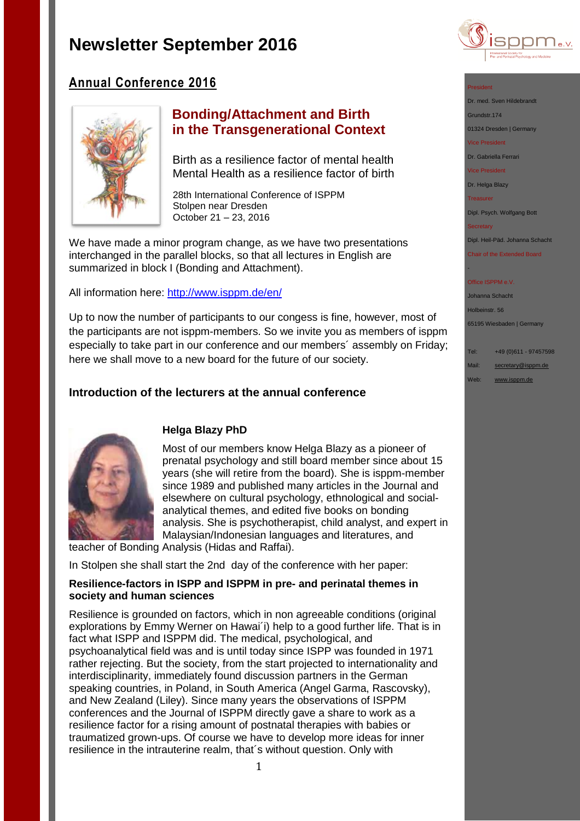

# **Annual Conference 2016**



## **Bonding/Attachment and Birth in the Transgenerational Context**

Birth as a resilience factor of mental health Mental Health as a resilience factor of birth

28th International Conference of ISPPM Stolpen near Dresden October 21 – 23, 2016

We have made a minor program change, as we have two presentations interchanged in the parallel blocks, so that all lectures in English are summarized in block I (Bonding and Attachment).

All information here:<http://www.isppm.de/en/>

Up to now the number of participants to our congess is fine, however, most of the participants are not isppm-members. So we invite you as members of isppm especially to take part in our conference and our members´ assembly on Friday; here we shall move to a new board for the future of our society.

## **Introduction of the lecturers at the annual conference**



### **Helga Blazy PhD**

Most of our members know Helga Blazy as a pioneer of prenatal psychology and still board member since about 15 years (she will retire from the board). She is isppm-member since 1989 and published many articles in the Journal and elsewhere on cultural psychology, ethnological and socialanalytical themes, and edited five books on bonding analysis. She is psychotherapist, child analyst, and expert in Malaysian/Indonesian languages and literatures, and

teacher of Bonding Analysis (Hidas and Raffai).

In Stolpen she shall start the 2nd day of the conference with her paper:

#### **Resilience-factors in ISPP and ISPPM in pre- and perinatal themes in society and human sciences**

Resilience is grounded on factors, which in non agreeable conditions (original explorations by Emmy Werner on Hawai´i) help to a good further life. That is in fact what ISPP and ISPPM did. The medical, psychological, and psychoanalytical field was and is until today since ISPP was founded in 1971 rather rejecting. But the society, from the start projected to internationality and interdisciplinarity, immediately found discussion partners in the German speaking countries, in Poland, in South America (Angel Garma, Rascovsky), and New Zealand (Liley). Since many years the observations of ISPPM conferences and the Journal of ISPPM directly gave a share to work as a resilience factor for a rising amount of postnatal therapies with babies or traumatized grown-ups. Of course we have to develop more ideas for inner resilience in the intrauterine realm, that´s without question. Only with

#### President

Dr. med. Sven Hildebrandt

Grundstr.174

01324 Dresden | Germany

Vice President

Dr. Gabriella Ferrari

Vice President

Dr. Helga Blazy

Treasurer

Dipl. Psych. Wolfgang Bott

**Secretary** 

-

Dipl. Heil-Päd. Johanna Schacht

Chair of the Extended Board

#### Office ISPPM e.V.

Johanna Schacht Holbeinstr. 56

65195 Wiesbaden | Germany

Tel: +49 (0)611 - 97457598

Mail: [secretary@isppm.de](mailto:secretary@isppm.de)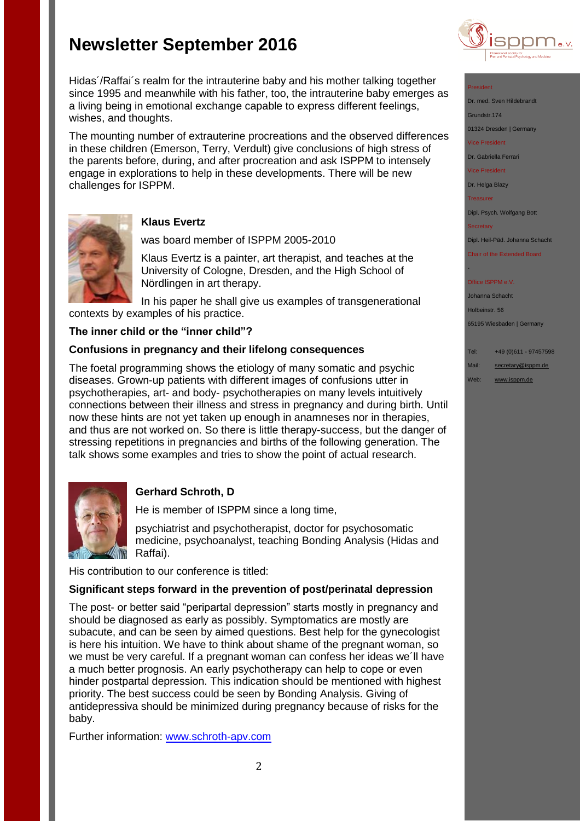

#### President

Dr. med. Sven Hildebrand

Grundstr.174

01324 Dresden | Germany

Vice President

Dr. Gabriella Ferrari

Vice President

Dr. Helga Blazy

**Treasurer** 

Dipl. Psych. Wolfgang Bott

**Secretary** 

-

Dipl. Heil-Päd. Johanna Schacht

Chair of the Extended Board

#### Office ISPPM e.V

Johanna Schacht Holbeinstr. 56 65195 Wiesbaden | Germany

Tel: +49 (0)611 - 97457598

Mail: [secretary@isppm.de](mailto:secretary@isppm.de)

Web: [www.isppm.de](http://www.isppm.de/)



wishes, and thoughts.

challenges for ISPPM.

#### **Klaus Evertz**

was board member of ISPPM 2005-2010

Hidas´/Raffai´s realm for the intrauterine baby and his mother talking together since 1995 and meanwhile with his father, too, the intrauterine baby emerges as a living being in emotional exchange capable to express different feelings,

The mounting number of extrauterine procreations and the observed differences in these children (Emerson, Terry, Verdult) give conclusions of high stress of the parents before, during, and after procreation and ask ISPPM to intensely engage in explorations to help in these developments. There will be new

> Klaus Evertz is a painter, art therapist, and teaches at the University of Cologne, Dresden, and the High School of Nördlingen in art therapy.

In his paper he shall give us examples of transgenerational contexts by examples of his practice.

#### **The inner child or the "inner child"?**

#### **Confusions in pregnancy and their lifelong consequences**

The foetal programming shows the etiology of many somatic and psychic diseases. Grown-up patients with different images of confusions utter in psychotherapies, art- and body- psychotherapies on many levels intuitively connections between their illness and stress in pregnancy and during birth. Until now these hints are not yet taken up enough in anamneses nor in therapies, and thus are not worked on. So there is little therapy-success, but the danger of stressing repetitions in pregnancies and births of the following generation. The talk shows some examples and tries to show the point of actual research.



## **Gerhard Schroth, D**

He is member of ISPPM since a long time,

psychiatrist and psychotherapist, doctor for psychosomatic medicine, psychoanalyst, teaching Bonding Analysis (Hidas and Raffai).

His contribution to our conference is titled:

#### **Significant steps forward in the prevention of post/perinatal depression**

The post- or better said "peripartal depression" starts mostly in pregnancy and should be diagnosed as early as possibly. Symptomatics are mostly are subacute, and can be seen by aimed questions. Best help for the gynecologist is here his intuition. We have to think about shame of the pregnant woman, so we must be very careful. If a pregnant woman can confess her ideas we´ll have a much better prognosis. An early psychotherapy can help to cope or even hinder postpartal depression. This indication should be mentioned with highest priority. The best success could be seen by Bonding Analysis. Giving of antidepressiva should be minimized during pregnancy because of risks for the baby.

Further information: [www.schroth-apv.com](http://www.schroth-apv.com/)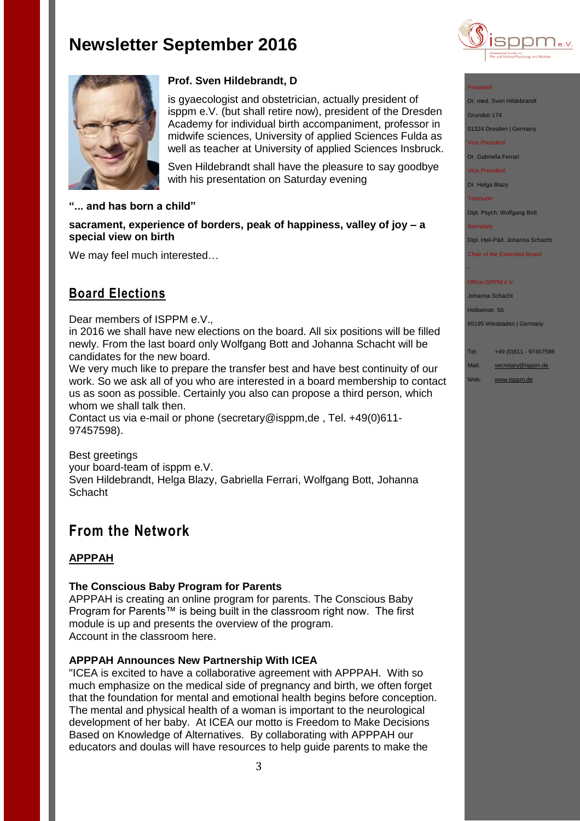



### **Prof. Sven Hildebrandt, D**

is gyaecologist and obstetrician, actually president of isppm e.V. (but shall retire now), president of the Dresden Academy for individual birth accompaniment, professor in midwife sciences, University of applied Sciences Fulda as well as teacher at University of applied Sciences Insbruck.

Sven Hildebrandt shall have the pleasure to say goodbye with his presentation on Saturday evening

#### **"... and has born a child"**

**sacrament, experience of borders, peak of happiness, valley of joy – a special view on birth**

We may feel much interested…

# **Board Elections**

#### Dear members of ISPPM e.V.,

in 2016 we shall have new elections on the board. All six positions will be filled newly. From the last board only Wolfgang Bott and Johanna Schacht will be candidates for the new board.

We very much like to prepare the transfer best and have best continuity of our work. So we ask all of you who are interested in a board membership to contact us as soon as possible. Certainly you also can propose a third person, which whom we shall talk then.

Contact us via e-mail or phone (secretary@isppm,de , Tel. +49(0)611- 97457598).

Best greetings your board-team of isppm e.V. Sven Hildebrandt, Helga Blazy, Gabriella Ferrari, Wolfgang Bott, Johanna **Schacht** 

# **From the Network**

### **APPPAH**

#### **The Conscious Baby Program for Parents**

APPPAH is creating an online program for parents. The Conscious Baby Program for Parents™ is being built in the classroom right now. The first module is up and presents the overview of the program. Account in the classroom here.

### **APPPAH Announces New Partnership With ICEA**

"ICEA is excited to have a collaborative agreement with APPPAH. With so much emphasize on the medical side of pregnancy and birth, we often forget that the foundation for mental and emotional health begins before conception. The mental and physical health of a woman is important to the neurological development of her baby. At ICEA our motto is Freedom to Make Decisions Based on Knowledge of Alternatives. By collaborating with APPPAH our educators and doulas will have resources to help guide parents to make the

#### President

Dr. med. Sven Hildebrandt

Grundstr.174

01324 Dresden | Germany

Vice President

Dr. Gabriella Ferrari

Vice President

Dr. Helga Blazy

**Treasurer** 

Dipl. Psych. Wolfgang Bott

**Secretary** 

-

Dipl. Heil-Päd. Johanna Schacht

Chair of the Extended Board

#### Office ISPPM e.V

Johanna Schacht

Holbeinstr. 56

65195 Wiesbaden | Germany

Tel: +49 (0)611 - 97457598

Mail: [secretary@isppm.de](mailto:secretary@isppm.de)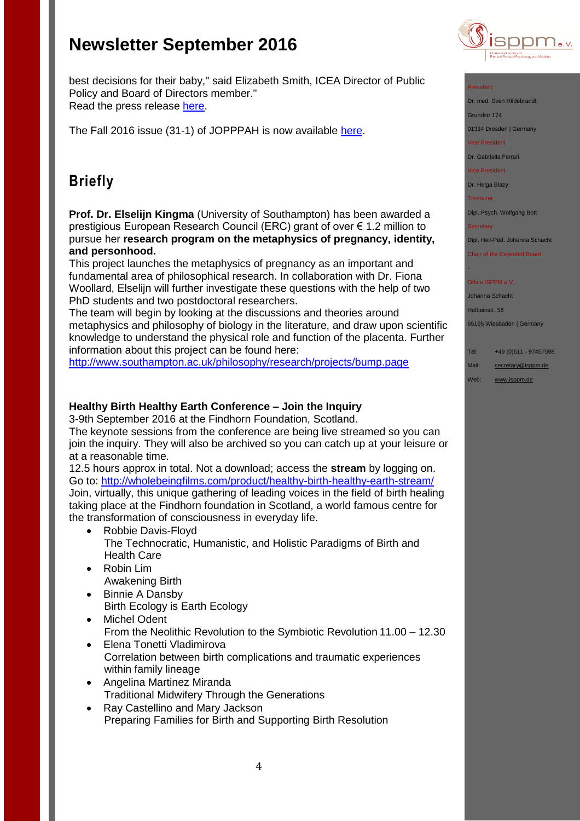best decisions for their baby," said Elizabeth Smith, ICEA Director of Public Policy and Board of Directors member." Read the press release [here.](https://birthpsychology.com/press-room/apppah-announces-partnership-icea)

The Fall 2016 issue (31-1) of JOPPPAH is now available [here.](http://r20.rs6.net/tn.jsp?f=001I3dGFxL2XDoR3CV9UpPWJb2hp5fWSAHwUCcbBrngJycf4F6r2pmJGGoF8WoiwnlldAewOPKzqD9LI03Tm0QY0netStvCnESoJ6oHLS7nXFZsH-wy28eT2BngWkVuA5d2R3CGYUFJ_NVPdRhnkfz73JEi_u4lQQoLpo_4r6JnhT7z8jwR2WY9Ex4MCJEe_C_UI7jfIjZ9TFkz8CCBvdPutA==&c=kXE2idPam6bl4UHYoro193NA14RvSI_rVQ9HHM_IgRYba3JjClTAmw==&ch=eZ15pMIojHUTXHNeHfjXgc1HrNdsCI99HUgds9nkH_1jA48Qx7fR1Q==)

# **Briefly**

**Prof. Dr. Elselijn Kingma** (University of Southampton) has been awarded a prestigious European Research Council (ERC) grant of over € 1.2 million to pursue her **research program on the metaphysics of pregnancy, identity, and personhood.**

This project launches the metaphysics of pregnancy as an important and fundamental area of philosophical research. In collaboration with Dr. Fiona Woollard, Elselijn will further investigate these questions with the help of two PhD students and two postdoctoral researchers.

The team will begin by looking at the discussions and theories around metaphysics and philosophy of biology in the literature, and draw upon scientific knowledge to understand the physical role and function of the placenta. Further information about this project can be found here:

<http://www.southampton.ac.uk/philosophy/research/projects/bump.page>

### **Healthy Birth Healthy Earth Conference – Join the Inquiry**

3-9th September 2016 at the Findhorn Foundation, Scotland.

The keynote sessions from the conference are being live streamed so you can join the inquiry. They will also be archived so you can catch up at your leisure or at a reasonable time.

12.5 hours approx in total. Not a download; access the **stream** by logging on. Go to:<http://wholebeingfilms.com/product/healthy-birth-healthy-earth-stream/> Join, virtually, this unique gathering of leading voices in the field of birth healing taking place at the Findhorn foundation in Scotland, a world famous centre for the transformation of consciousness in everyday life.

- Robbie Davis-Floyd The Technocratic, Humanistic, and Holistic Paradigms of Birth and Health Care
- Robin Lim Awakening Birth
- Binnie A Dansby Birth Ecology is Earth Ecology
- Michel Odent From the Neolithic Revolution to the Symbiotic Revolution 11.00 – 12.30
- Elena Tonetti Vladimirova Correlation between birth complications and traumatic experiences within family lineage
- Angelina Martinez Miranda Traditional Midwifery Through the Generations
- Ray Castellino and Mary Jackson Preparing Families for Birth and Supporting Birth Resolution



#### President

Dr. med. Sven Hildebrandt

Grundstr.174

01324 Dresden | Germany

Vice President

Dr. Gabriella Ferrari

Vice President

Dr. Helga Blazy

Treasurer

Dipl. Psych. Wolfgang Bott

**Secretary** 

-

Dipl. Heil-Päd. Johanna Schacht

Chair of the Extended Board

#### Office ISPPM e.V

Johanna Schacht

Holbeinstr. 56

65195 Wiesbaden | Germany

Tel: +49 (0)611 - 97457598

Mail: [secretary@isppm.de](mailto:secretary@isppm.de)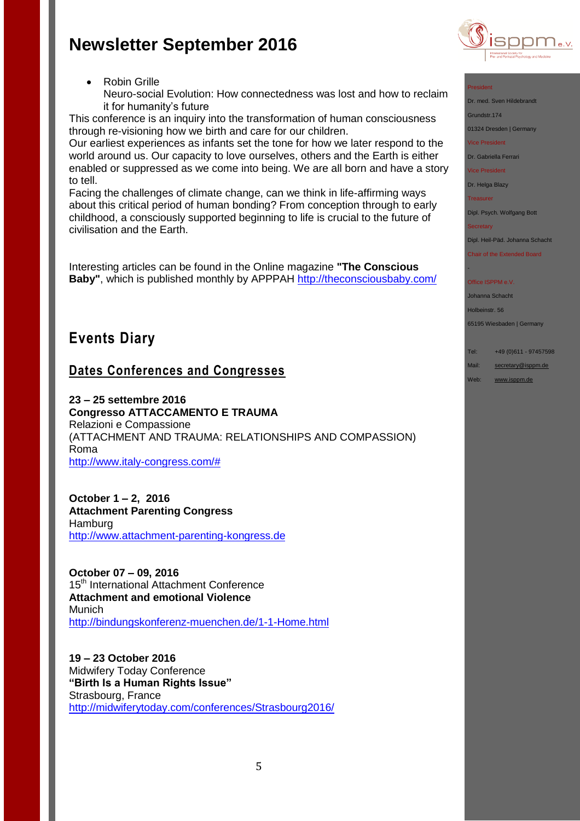through re-visioning how we birth and care for our children.

Neuro-social Evolution: How connectedness was lost and how to reclaim

This conference is an inquiry into the transformation of human consciousness

Our earliest experiences as infants set the tone for how we later respond to the world around us. Our capacity to love ourselves, others and the Earth is either enabled or suppressed as we come into being. We are all born and have a story

Facing the challenges of climate change, can we think in life-affirming ways about this critical period of human bonding? From conception through to early childhood, a consciously supported beginning to life is crucial to the future of

Interesting articles can be found in the Online magazine **"The Conscious Baby"**, which is published monthly by APPPAH<http://theconsciousbaby.com/>

Robin Grille

civilisation and the Earth.

**Events Diary**

to tell.

it for humanity's future



#### President

Dr. med. Sven Hildebrandt

Grundstr.174

01324 Dresden | Germany

Vice President

Dr. Gabriella Ferrari

Vice President

Dr. Helga Blazy

Treasurer

Dipl. Psych. Wolfgang Bott

**Secretary** 

-

Dipl. Heil-Päd. Johanna Schacht

Chair of the Extended Board

#### Office ISPPM e.V.

Johanna Schacht

Holbeinstr. 56

65195 Wiesbaden | Germany

Tel: +49 (0)611 - 97457598

Mail: [secretary@isppm.de](mailto:secretary@isppm.de)

- Web: [www.isppm.de](http://www.isppm.de/)
- **23 – 25 settembre 2016 Congresso ATTACCAMENTO E TRAUMA** Relazioni e Compassione (ATTACHMENT AND TRAUMA: RELATIONSHIPS AND COMPASSION) Roma

**Dates Conferences and Congresses** 

[http://www.italy-congress.com/#](http://www.italy-congress.com/%23)

**October 1 – 2, 2016 Attachment Parenting Congress** Hamburg [http://www.attachment-parenting-kongress.de](http://www.attachment-parenting-kongress.de/)

**October 07 – 09, 2016**  15<sup>th</sup> International Attachment Conference **Attachment and emotional Violence** Munich <http://bindungskonferenz-muenchen.de/1-1-Home.html>

**19 – 23 October 2016** Midwifery Today Conference **"Birth Is a Human Rights Issue"** Strasbourg, France <http://midwiferytoday.com/conferences/Strasbourg2016/>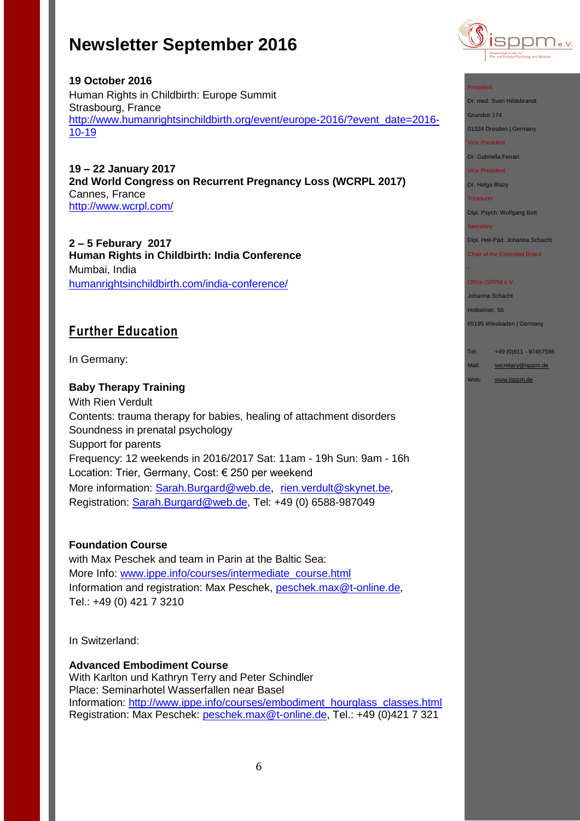

## **19 October 2016** Human Rights in Childbirth: Europe Summit Strasbourg, France [http://www.humanrightsinchildbirth.org/event/europe-2016/?event\\_date=2016-](http://www.humanrightsinchildbirth.org/event/europe-2016/?event_date=2016-10-19) [10-19](http://www.humanrightsinchildbirth.org/event/europe-2016/?event_date=2016-10-19)

**19 – 22 January 2017 2nd World Congress on Recurrent Pregnancy Loss (WCRPL 2017)** Cannes, France <http://www.wcrpl.com/>

**2 – 5 Feburary 2017 Human Rights in Childbirth: India Conference** Mumbai, India [humanrightsinchildbirth.com/india-conference/](http://humanrightsinchildbirth.com/india-conference/)

# **Further Education**

In Germany:

### **Baby Therapy Training**

With Rien Verdult Contents: trauma therapy for babies, healing of attachment disorders Soundness in prenatal psychology Support for parents Frequency: 12 weekends in 2016/2017 Sat: 11am - 19h Sun: 9am - 16h Location: Trier, Germany, Cost: € 250 per weekend More information: [Sarah.Burgard@web.de](mailto:Sarah.Burgard@web.de), [rien.verdult@skynet.be,](mailto:rien.verdult@skynet.be) Registration: [Sarah.Burgard@web.de,](mailto:Sarah.Burgard@web.de) Tel: +49 (0) 6588-987049

### **Foundation Course**

with Max Peschek and team in Parin at the Baltic Sea: More Info: [www.ippe.info/courses/intermediate\\_course.html](http://www.ippe.info/courses/intermediate_course.html) Information and registration: Max Peschek, [peschek.max@t-online.de,](mailto:peschek.max@t-online.de) Tel.: +49 (0) 421 7 3210

In Switzerland:

### **Advanced Embodiment Course**

With Karlton und Kathryn Terry and Peter Schindler Place: Seminarhotel Wasserfallen near Basel Information: [http://www.ippe.info/courses/embodiment\\_hourglass\\_classes.html](http://www.ippe.info/courses/embodiment_hourglass_classes.html)  Registration: Max Peschek: [peschek.max@t-online.de,](mailto:peschek.max@t-online.de) Tel.: +49 (0)421 7 321

#### President

Dr. med. Sven Hildebrandt

Grundstr.174

01324 Dresden | Germany

Vice President

Dr. Gabriella Ferrari

Vice President

Dr. Helga Blazy

Treasurer

Dipl. Psych. Wolfgang Bott

**Secretary** 

-

Dipl. Heil-Päd. Johanna Schacht

Chair of the Extended Board

#### Office ISPPM e.V.

Johanna Schacht

Holbeinstr. 56

65195 Wiesbaden | Germany

Tel: +49 (0)611 - 97457598

Mail: [secretary@isppm.de](mailto:secretary@isppm.de)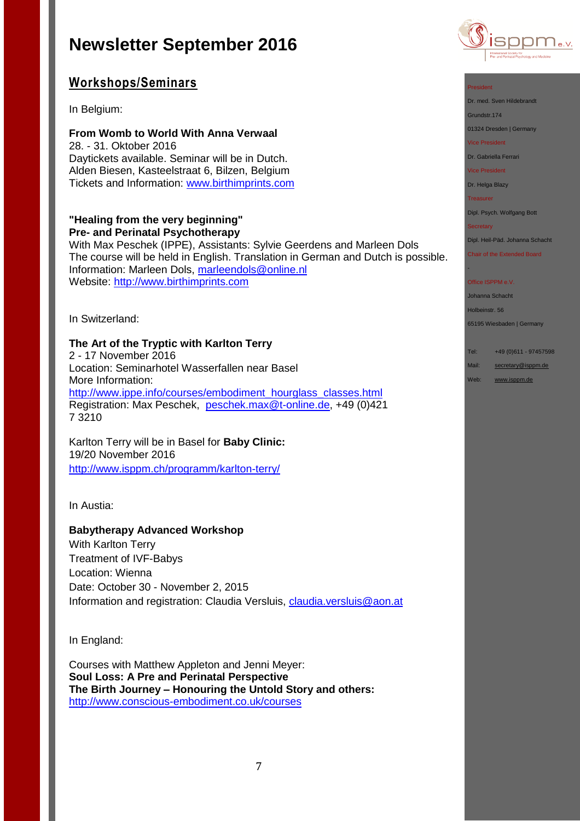# **Workshops/Seminars**

In Belgium:

**From Womb to World With Anna Verwaal** 28. - 31. Oktober 2016 Daytickets available. Seminar will be in Dutch. Alden Biesen, Kasteelstraat 6, Bilzen, Belgium Tickets and Information: [www.birthimprints.com](http://www.birthimprints.com/)

#### **"Healing from the very beginning" Pre- and Perinatal Psychotherapy**

With Max Peschek (IPPE), Assistants: Sylvie Geerdens and Marleen Dols The course will be held in English. Translation in German and Dutch is possible. Information: Marleen Dols, [marleendols@online.nl](mailto:marleendols@online.nl) Website: [http://www.birthimprints.com](http://www.birthimprints.com/)

In Switzerland:

**The Art of the Tryptic with Karlton Terry** 2 - 17 November 2016 Location: Seminarhotel Wasserfallen near Basel More Information: [http://www.ippe.info/courses/embodiment\\_hourglass\\_classes.html](http://www.ippe.info/courses/embodiment_hourglass_classes.html) Registration: Max Peschek, [peschek.max@t-online.de,](mailto:peschek.max@t-online.de) +49 (0)421 7 3210

Karlton Terry will be in Basel for **Baby Clinic:** 19/20 November 2016 <http://www.isppm.ch/programm/karlton-terry/>

In Austia:

### **Babytherapy Advanced Workshop**

With Karlton Terry Treatment of IVF-Babys Location: Wienna Date: October 30 - November 2, 2015 Information and registration: Claudia Versluis, [claudia.versluis@aon.at](mailto:claudia.versluis@aon.at)

In England:

Courses with Matthew Appleton and Jenni Meyer: **Soul Loss: A Pre and Perinatal Perspective The Birth Journey – Honouring the Untold Story and others:** <http://www.conscious-embodiment.co.uk/courses>



#### President

Dr. med. Sven Hildebrandt

Grundstr.174

01324 Dresden | Germany

Vice President

Dr. Gabriella Ferrari

Vice President

Dr. Helga Blazy

Treasurer

Dipl. Psych. Wolfgang Bott

**Secretary** 

-

Dipl. Heil-Päd. Johanna Schacht Chair of the Extended Board

#### Office ISPPM e.V.

Johanna Schacht

Holbeinstr. 56

65195 Wiesbaden | Germany

Tel: +49 (0)611 - 97457598

Mail: [secretary@isppm.de](mailto:secretary@isppm.de)